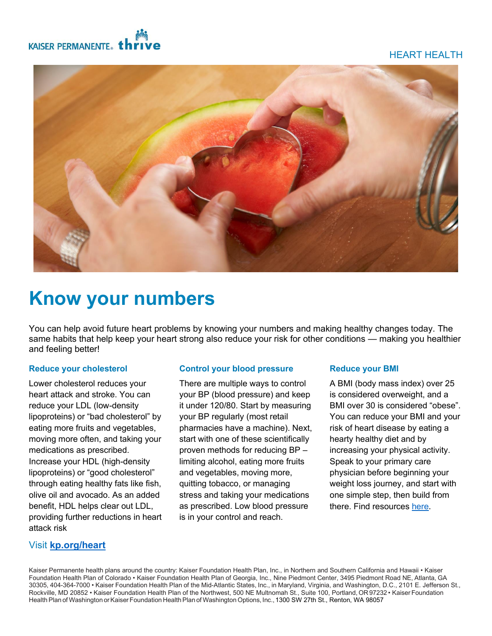## HEART HEALTH





# **Know your numbers**

You can help avoid future heart problems by knowing your numbers and making healthy changes today. The same habits that help keep your heart strong also reduce your risk for other conditions — making you healthier and feeling better!

## **Reduce your cholesterol**

Lower cholesterol reduces your heart attack and stroke. You can reduce your LDL (low-density lipoproteins) or "bad cholesterol" by eating more fruits and vegetables, moving more often, and taking your medications as prescribed. Increase your HDL (high-density lipoproteins) or "good cholesterol" through eating healthy fats like fish, olive oil and avocado. As an added benefit, HDL helps clear out LDL, providing further reductions in heart attack risk

## **Control your blood pressure**

There are multiple ways to control your BP (blood pressure) and keep it under 120/80. Start by measuring your BP regularly (most retail pharmacies have a machine). Next, start with one of these scientifically proven methods for reducing BP – limiting alcohol, eating more fruits and vegetables, moving more, quitting tobacco, or managing stress and taking your medications as prescribed. Low blood pressure is in your control and reach.

## **Reduce your BMI**

A BMI (body mass index) over 25 is considered overweight, and a BMI over 30 is considered "obese". You can reduce your BMI and your risk of heart disease by eating a hearty healthy diet and by increasing your physical activity. Speak to your primary care physician before beginning your weight loss journey, and start with one simple step, then build from there. Find resources [here](https://healthy.kaiserpermanente.org/health-wellness/healthy-lifestyle-programs).

## Visit **[kp.org/heart](http://www.kp.org/heart)**

Kaiser Permanente health plans around the country: Kaiser Foundation Health Plan, Inc., in Northern and Southern California and Hawaii • Kaiser Foundation Health Plan of Colorado • Kaiser Foundation Health Plan of Georgia, Inc., Nine Piedmont Center, 3495 Piedmont Road NE, Atlanta, GA 30305, 404-364-7000 • Kaiser Foundation Health Plan of the Mid-Atlantic States, Inc., in Maryland, Virginia, and Washington, D.C., 2101 E. Jefferson St., Rockville, MD 20852 • Kaiser Foundation Health Plan of the Northwest, 500 NE Multnomah St., Suite 100, Portland, OR97232 • Kaiser Foundation Health Plan of Washington or Kaiser Foundation Health Plan of Washington Options, Inc., 1300 SW 27th St., Renton, WA 98057